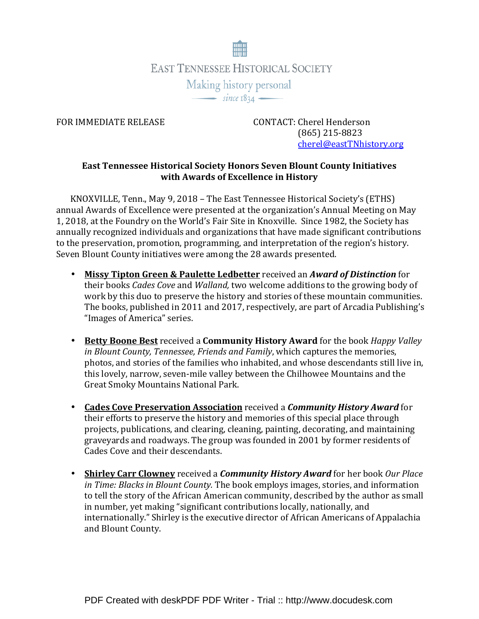

FOR IMMEDIATE RELEASE CONTACT: Cherel Henderson (865) 215-8823 cherel@eastTNhistory.org

## East Tennessee Historical Society Honors Seven Blount County Initiatives with Awards of Excellence in History

KNOXVILLE, Tenn., May 9, 2018 – The East Tennessee Historical Society's (ETHS) annual Awards of Excellence were presented at the organization's Annual Meeting on May 1, 2018, at the Foundry on the World's Fair Site in Knoxville. Since 1982, the Society has annually recognized individuals and organizations that have made significant contributions to the preservation, promotion, programming, and interpretation of the region's history. Seven Blount County initiatives were among the 28 awards presented.

- Missy Tipton Green & Paulette Ledbetter received an Award of Distinction for their books Cades Cove and Walland, two welcome additions to the growing body of work by this duo to preserve the history and stories of these mountain communities. The books, published in 2011 and 2017, respectively, are part of Arcadia Publishing's "Images of America" series.
- Betty Boone Best received a Community History Award for the book Happy Valley in Blount County, Tennessee, Friends and Family, which captures the memories, photos, and stories of the families who inhabited, and whose descendants still live in, this lovely, narrow, seven-mile valley between the Chilhowee Mountains and the Great Smoky Mountains National Park.
- Cades Cove Preservation Association received a Community History Award for their efforts to preserve the history and memories of this special place through projects, publications, and clearing, cleaning, painting, decorating, and maintaining graveyards and roadways. The group was founded in 2001 by former residents of Cades Cove and their descendants.
- Shirley Carr Clowney received a *Community History Award* for her book Our Place in Time: Blacks in Blount County. The book employs images, stories, and information to tell the story of the African American community, described by the author as small in number, yet making "significant contributions locally, nationally, and internationally." Shirley is the executive director of African Americans of Appalachia and Blount County.